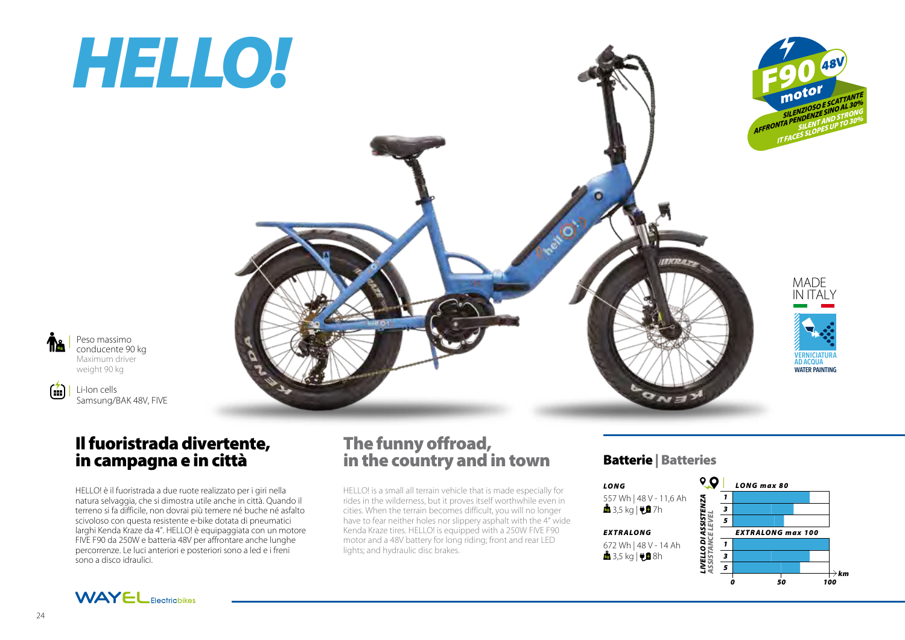# *HELLO!*



Peso massimo conducente 90 kg Maximum driver weight 90 kg

Kg

 $\left( \frac{1}{2} \right)$ 

Li-Ion cells Samsung/BAK 48V, FIVE

## Il fuoristrada divertente, in campagna e in città

HELLO! è il fuoristrada a due ruote realizzato per i giri nella natura selvaggia, che si dimostra utile anche in città. Quando il terreno si fa difficile, non dovrai più temere né buche né asfalto scivoloso con questa resistente e-bike dotata di pneumatici larghi Kenda Kraze da 4". HELLO! è equipaggiata con un motore FIVE F90 da 250W e batteria 48V per affrontare anche lunghe percorrenze. Le luci anteriori e posteriori sono a led e i freni sono a disco idraulici.

## The funny offroad, in the country and in town

HELLO! is a small all terrain vehicle that is made especially for rides in the wilderness, but it proves itself worthwhile even in cities. When the terrain becomes difficult, you will no longer have to fear neither holes nor slippery asphalt with the 4" wide Kenda Kraze tires. HELLO! is equipped with a 250W FIVE F90 motor and a 48V battery for long riding; front and rear LED lights; and hydraulic disc brakes.

### Batterie | Batteries